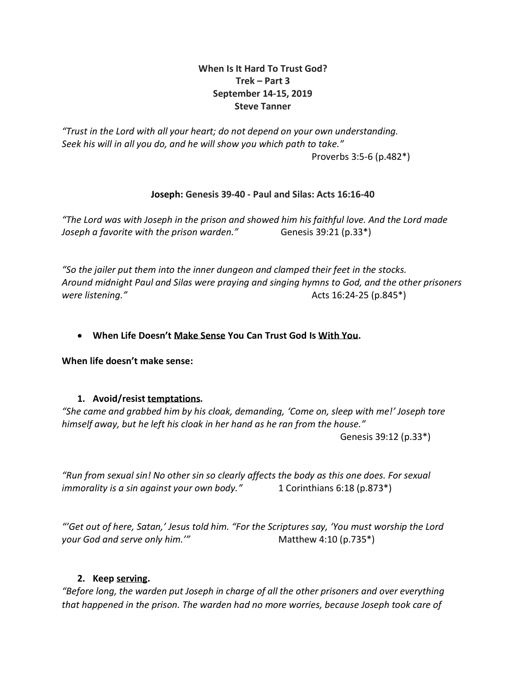# **When Is It Hard To Trust God? Trek – Part 3 September 14-15, 2019 Steve Tanner**

*"Trust in the Lord with all your heart; do not depend on your own understanding. Seek his will in all you do, and he will show you which path to take."* Proverbs 3:5-6 (p.482\*)

# **Joseph: Genesis 39-40 - Paul and Silas: Acts 16:16-40**

*"The Lord was with Joseph in the prison and showed him his faithful love. And the Lord made Joseph a favorite with the prison warden."* Genesis 39:21 (p.33<sup>\*</sup>)

*"So the jailer put them into the inner dungeon and clamped their feet in the stocks. Around midnight Paul and Silas were praying and singing hymns to God, and the other prisoners were listening."* Acts 16:24-25 (p.845\*)

# • **When Life Doesn't Make Sense You Can Trust God Is With You.**

**When life doesn't make sense:**

## **1. Avoid/resist temptations.**

*"She came and grabbed him by his cloak, demanding, 'Come on, sleep with me!' Joseph tore himself away, but he left his cloak in her hand as he ran from the house."* 

Genesis 39:12 (p.33\*)

*"Run from sexual sin! No other sin so clearly affects the body as this one does. For sexual immorality is a sin against your own body."* 1 Corinthians 6:18 (p.873\*)

*"'Get out of here, Satan,' Jesus told him. "For the Scriptures say, 'You must worship the Lord your God and serve only him.'"* Matthew 4:10 (p.735<sup>\*</sup>)

## **2. Keep serving.**

*"Before long, the warden put Joseph in charge of all the other prisoners and over everything that happened in the prison. The warden had no more worries, because Joseph took care of*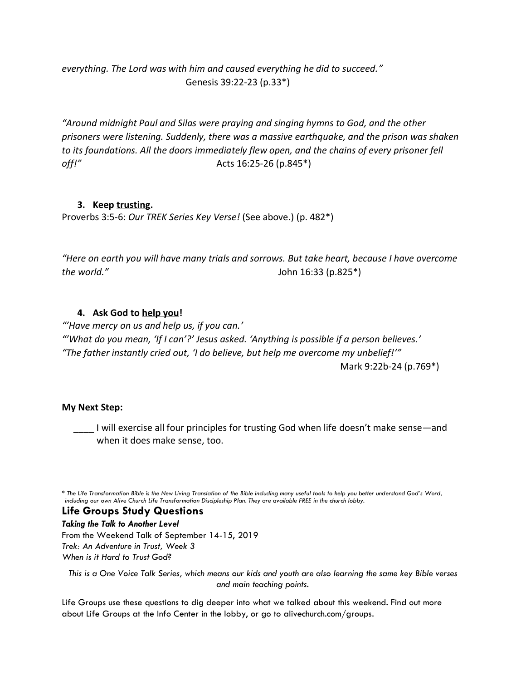*everything. The Lord was with him and caused everything he did to succeed."*  Genesis 39:22-23 (p.33\*)

*"Around midnight Paul and Silas were praying and singing hymns to God, and the other prisoners were listening. Suddenly, there was a massive earthquake, and the prison was shaken to its foundations. All the doors immediately flew open, and the chains of every prisoner fell off!"* Acts 16:25-26 (p.845\*)

## **3. Keep trusting.**

Proverbs 3:5-6: *Our TREK Series Key Verse!* (See above.) (p. 482\*)

*"Here on earth you will have many trials and sorrows. But take heart, because I have overcome the world."* John 16:33 (p.825\*)

# **4. Ask God to help you!**

*"'Have mercy on us and help us, if you can.'*

*"'What do you mean, 'If I can'?' Jesus asked. 'Anything is possible if a person believes.' "The father instantly cried out, 'I do believe, but help me overcome my unbelief!'"* Mark 9:22b-24 (p.769\*)

## **My Next Step:**

I will exercise all four principles for trusting God when life doesn't make sense—and when it does make sense, too.

*\* The Life Transformation Bible is the New Living Translation of the Bible including many useful tools to help you better understand God's Word, including our own Alive Church Life Transformation Discipleship Plan. They are available FREE in the church lobby.* 

**Life Groups Study Questions**

*Taking the Talk to Another Level* From the Weekend Talk of September 14-15, 2019 *Trek: An Adventure in Trust, Week 3 When is it Hard to Trust God?*

*This is a One Voice Talk Series, which means our kids and youth are also learning the same key Bible verses and main teaching points.*

Life Groups use these questions to dig deeper into what we talked about this weekend. Find out more about Life Groups at the Info Center in the lobby, or go to alivechurch.com/groups.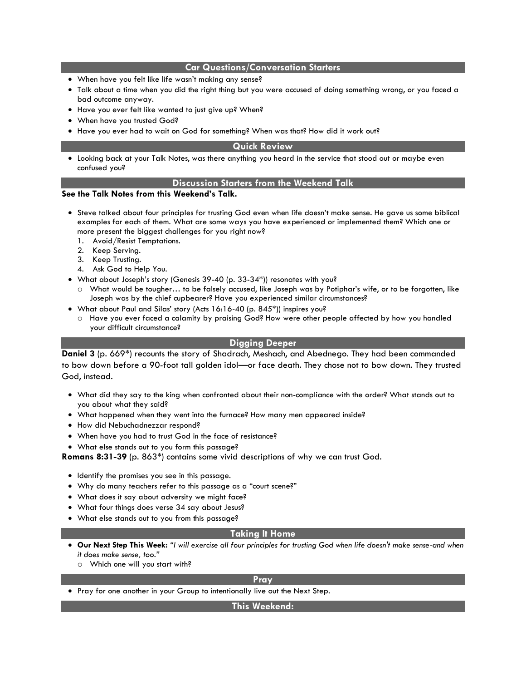### **Car Questions/Conversation Starters**

- When have you felt like life wasn't making any sense?
- Talk about a time when you did the right thing but you were accused of doing something wrong, or you faced a bad outcome anyway.
- Have you ever felt like wanted to just give up? When?
- When have you trusted God?
- Have you ever had to wait on God for something? When was that? How did it work out?

### **Quick Review**

• Looking back at your Talk Notes, was there anything you heard in the service that stood out or maybe even confused you?

#### **Discussion Starters from the Weekend Talk**

### **See the Talk Notes from this Weekend's Talk.**

- Steve talked about four principles for trusting God even when life doesn't make sense. He gave us some biblical examples for each of them. What are some ways you have experienced or implemented them? Which one or more present the biggest challenges for you right now?
	- 1. Avoid/Resist Temptations.
	- 2. Keep Serving.
	- 3. Keep Trusting.
	- 4. Ask God to Help You.
- What about Joseph's story (Genesis 39-40 (p. 33-34\*)) resonates with you?
	- o What would be tougher… to be falsely accused, like Joseph was by Potiphar's wife, or to be forgotten, like Joseph was by the chief cupbearer? Have you experienced similar circumstances?
- What about Paul and Silas' story (Acts 16:16-40 (p. 845\*)) inspires you?
	- o Have you ever faced a calamity by praising God? How were other people affected by how you handled your difficult circumstance?

### **Digging Deeper**

**Daniel 3** (p. 669\*) recounts the story of Shadrach, Meshach, and Abednego. They had been commanded to bow down before a 90-foot tall golden idol—or face death. They chose not to bow down. They trusted God, instead.

- What did they say to the king when confronted about their non-compliance with the order? What stands out to you about what they said?
- What happened when they went into the furnace? How many men appeared inside?
- How did Nebuchadnezzar respond?
- When have you had to trust God in the face of resistance?
- What else stands out to you form this passage?

**Romans 8:31-39** (p. 863\*) contains some vivid descriptions of why we can trust God.

- Identify the promises you see in this passage.
- Why do many teachers refer to this passage as a "court scene?"
- What does it say about adversity we might face?
- What four things does verse 34 say about Jesus?
- What else stands out to you from this passage?

### **Taking It Home**

- **Our Next Step This Week:** *"I will exercise all four principles for trusting God when life doesn't make sense-and when it does make sense, too."* 
	- o Which one will you start with?

## **Pray**

• Pray for one another in your Group to intentionally live out the Next Step.

**This Weekend:**